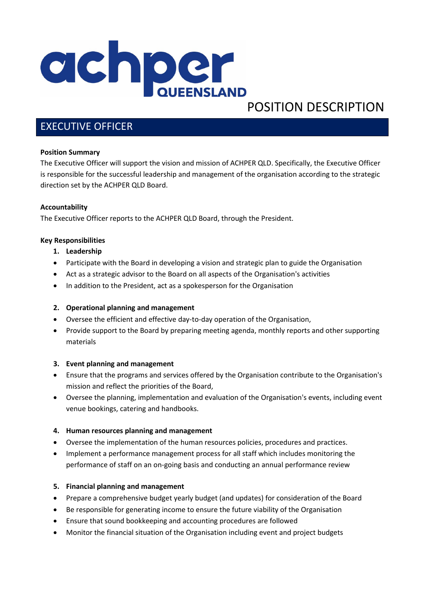

# POSITION DESCRIPTION

# EXECUTIVE OFFICER

# **Position Summary**

The Executive Officer will support the vision and mission of ACHPER QLD. Specifically, the Executive Officer is responsible for the successful leadership and management of the organisation according to the strategic direction set by the ACHPER QLD Board.

# **Accountability**

The Executive Officer reports to the ACHPER QLD Board, through the President.

# **Key Responsibilities**

- **1. Leadership**
- Participate with the Board in developing a vision and strategic plan to guide the Organisation
- Act as a strategic advisor to the Board on all aspects of the Organisation's activities
- In addition to the President, act as a spokesperson for the Organisation

#### **2. Operational planning and management**

- Oversee the efficient and effective day-to-day operation of the Organisation,
- Provide support to the Board by preparing meeting agenda, monthly reports and other supporting materials

#### **3. Event planning and management**

- Ensure that the programs and services offered by the Organisation contribute to the Organisation's mission and reflect the priorities of the Board,
- Oversee the planning, implementation and evaluation of the Organisation's events, including event venue bookings, catering and handbooks.

# **4. Human resources planning and management**

- Oversee the implementation of the human resources policies, procedures and practices.
- Implement a performance management process for all staff which includes monitoring the performance of staff on an on-going basis and conducting an annual performance review

#### **5. Financial planning and management**

- Prepare a comprehensive budget yearly budget (and updates) for consideration of the Board
- Be responsible for generating income to ensure the future viability of the Organisation
- Ensure that sound bookkeeping and accounting procedures are followed
- Monitor the financial situation of the Organisation including event and project budgets